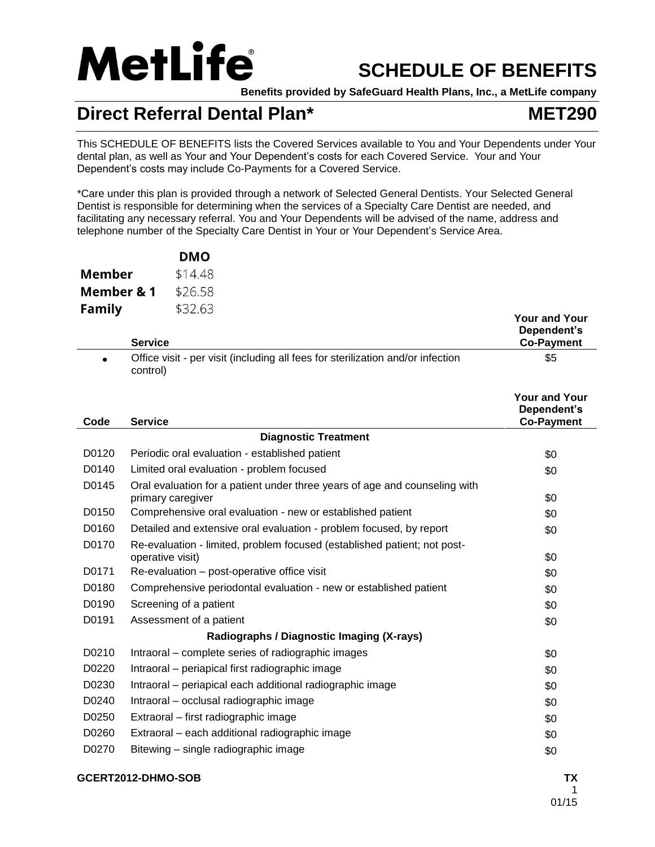

# **SCHEDULE OF BENEFITS**

**Benefits provided by SafeGuard Health Plans, Inc., a MetLife company**

# **Direct Referral Dental Plan\* MET290**

This SCHEDULE OF BENEFITS lists the Covered Services available to You and Your Dependents under Your dental plan, as well as Your and Your Dependent's costs for each Covered Service. Your and Your Dependent's costs may include Co-Payments for a Covered Service.

\*Care under this plan is provided through a network of Selected General Dentists. Your Selected General Dentist is responsible for determining when the services of a Specialty Care Dentist are needed, and facilitating any necessary referral. You and Your Dependents will be advised of the name, address and telephone number of the Specialty Care Dentist in Your or Your Dependent's Service Area.

|            | <b>DMO</b> |
|------------|------------|
| Member     | \$14.48    |
| Member & 1 | \$26.58    |
| Family     | \$32.63    |

|           | <b>Service</b>                                                                                  | <b>Your and Your</b><br>Dependent's<br><b>Co-Payment</b> |
|-----------|-------------------------------------------------------------------------------------------------|----------------------------------------------------------|
| $\bullet$ | Office visit - per visit (including all fees for sterilization and/or infection<br>control)     | \$5                                                      |
| Code      | <b>Service</b>                                                                                  | <b>Your and Your</b><br>Dependent's<br><b>Co-Payment</b> |
|           | <b>Diagnostic Treatment</b>                                                                     |                                                          |
| D0120     | Periodic oral evaluation - established patient                                                  | \$0                                                      |
| D0140     | Limited oral evaluation - problem focused                                                       | \$0                                                      |
| D0145     | Oral evaluation for a patient under three years of age and counseling with<br>primary caregiver | \$0                                                      |
| D0150     | Comprehensive oral evaluation - new or established patient                                      | \$0                                                      |
| D0160     | Detailed and extensive oral evaluation - problem focused, by report                             | \$0                                                      |
| D0170     | Re-evaluation - limited, problem focused (established patient; not post-<br>operative visit)    | \$0                                                      |
| D0171     | Re-evaluation - post-operative office visit                                                     | \$0                                                      |
| D0180     | Comprehensive periodontal evaluation - new or established patient                               | \$0                                                      |
| D0190     | Screening of a patient                                                                          | \$0                                                      |
| D0191     | Assessment of a patient                                                                         | \$0                                                      |
|           | Radiographs / Diagnostic Imaging (X-rays)                                                       |                                                          |
| D0210     | Intraoral – complete series of radiographic images                                              | \$0                                                      |
| D0220     | Intraoral - periapical first radiographic image                                                 | \$0                                                      |
| D0230     | Intraoral - periapical each additional radiographic image                                       | \$0                                                      |
| D0240     | Intraoral - occlusal radiographic image                                                         | \$0                                                      |
| D0250     | Extraoral – first radiographic image                                                            | \$0                                                      |
| D0260     | Extraoral - each additional radiographic image                                                  | \$0                                                      |
| D0270     | Bitewing – single radiographic image                                                            | \$0                                                      |
|           |                                                                                                 |                                                          |

## **GCERT2012-DHMO-SOB TX**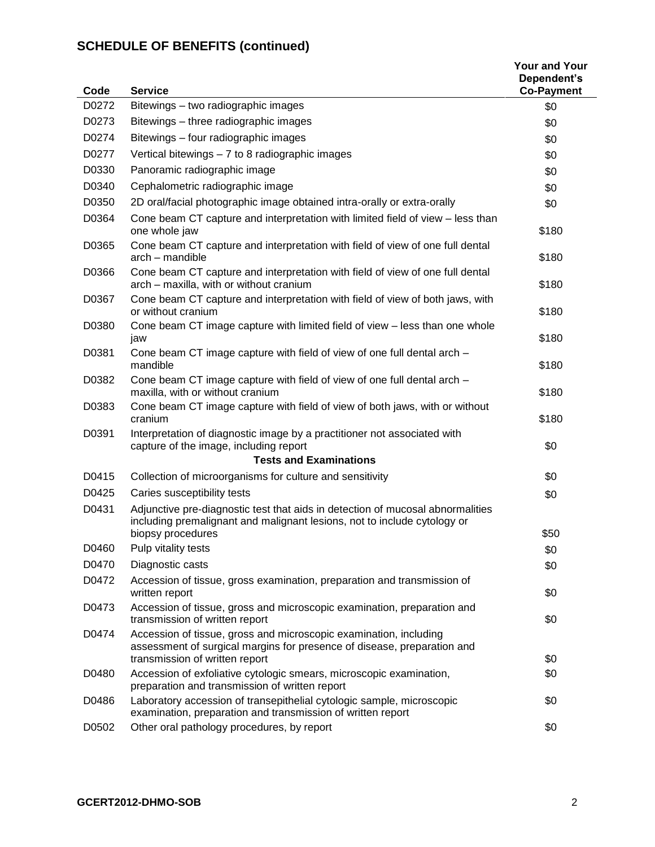| Code  | <b>Service</b>                                                                                                                                                                 | <b>Your and Your</b><br>Dependent's<br><b>Co-Payment</b> |
|-------|--------------------------------------------------------------------------------------------------------------------------------------------------------------------------------|----------------------------------------------------------|
| D0272 | Bitewings - two radiographic images                                                                                                                                            | \$0                                                      |
| D0273 | Bitewings - three radiographic images                                                                                                                                          | \$0                                                      |
| D0274 | Bitewings - four radiographic images                                                                                                                                           | \$0                                                      |
| D0277 | Vertical bitewings - 7 to 8 radiographic images                                                                                                                                | \$0                                                      |
| D0330 | Panoramic radiographic image                                                                                                                                                   | \$0                                                      |
| D0340 | Cephalometric radiographic image                                                                                                                                               | \$0                                                      |
| D0350 | 2D oral/facial photographic image obtained intra-orally or extra-orally                                                                                                        | \$0                                                      |
| D0364 | Cone beam CT capture and interpretation with limited field of view - less than<br>one whole jaw                                                                                | \$180                                                    |
| D0365 | Cone beam CT capture and interpretation with field of view of one full dental<br>arch - mandible                                                                               | \$180                                                    |
| D0366 | Cone beam CT capture and interpretation with field of view of one full dental<br>arch - maxilla, with or without cranium                                                       | \$180                                                    |
| D0367 | Cone beam CT capture and interpretation with field of view of both jaws, with<br>or without cranium                                                                            | \$180                                                    |
| D0380 | Cone beam CT image capture with limited field of view - less than one whole<br>jaw                                                                                             | \$180                                                    |
| D0381 | Cone beam CT image capture with field of view of one full dental arch -<br>mandible                                                                                            | \$180                                                    |
| D0382 | Cone beam CT image capture with field of view of one full dental arch -<br>maxilla, with or without cranium                                                                    | \$180                                                    |
| D0383 | Cone beam CT image capture with field of view of both jaws, with or without<br>cranium                                                                                         | \$180                                                    |
| D0391 | Interpretation of diagnostic image by a practitioner not associated with<br>capture of the image, including report                                                             | \$0                                                      |
|       | <b>Tests and Examinations</b>                                                                                                                                                  |                                                          |
| D0415 | Collection of microorganisms for culture and sensitivity                                                                                                                       | \$0                                                      |
| D0425 | Caries susceptibility tests                                                                                                                                                    | \$0                                                      |
| D0431 | Adjunctive pre-diagnostic test that aids in detection of mucosal abnormalities<br>including premalignant and malignant lesions, not to include cytology or                     |                                                          |
|       | biopsy procedures                                                                                                                                                              | \$50                                                     |
| D0460 | Pulp vitality tests                                                                                                                                                            | \$0                                                      |
| D0470 | Diagnostic casts                                                                                                                                                               | \$0                                                      |
| D0472 | Accession of tissue, gross examination, preparation and transmission of<br>written report                                                                                      | \$0                                                      |
| D0473 | Accession of tissue, gross and microscopic examination, preparation and<br>transmission of written report                                                                      | \$0                                                      |
| D0474 | Accession of tissue, gross and microscopic examination, including<br>assessment of surgical margins for presence of disease, preparation and<br>transmission of written report | \$0                                                      |
| D0480 | Accession of exfoliative cytologic smears, microscopic examination,<br>preparation and transmission of written report                                                          | \$0                                                      |
| D0486 | Laboratory accession of transepithelial cytologic sample, microscopic<br>examination, preparation and transmission of written report                                           | \$0                                                      |
| D0502 | Other oral pathology procedures, by report                                                                                                                                     | \$0                                                      |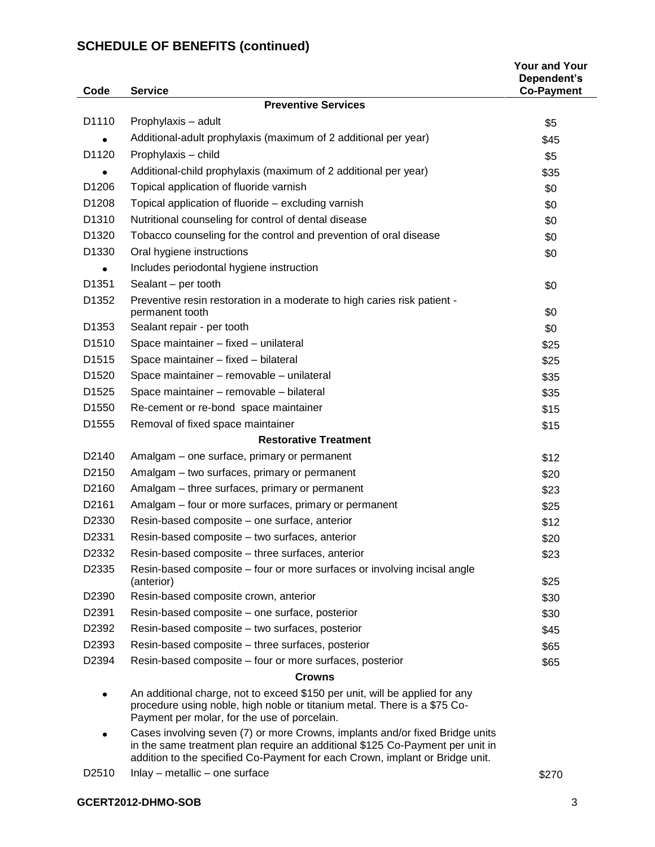| Code               | <b>Service</b>                                                                                                                                                                                          | <b>Your and Your</b><br>Dependent's<br><b>Co-Payment</b> |
|--------------------|---------------------------------------------------------------------------------------------------------------------------------------------------------------------------------------------------------|----------------------------------------------------------|
|                    | <b>Preventive Services</b>                                                                                                                                                                              |                                                          |
| D <sub>1110</sub>  | Prophylaxis - adult                                                                                                                                                                                     | \$5                                                      |
|                    | Additional-adult prophylaxis (maximum of 2 additional per year)                                                                                                                                         | \$45                                                     |
| D1120              | Prophylaxis - child                                                                                                                                                                                     | \$5                                                      |
|                    | Additional-child prophylaxis (maximum of 2 additional per year)                                                                                                                                         | \$35                                                     |
| D1206              | Topical application of fluoride varnish                                                                                                                                                                 | \$0                                                      |
| D1208              | Topical application of fluoride - excluding varnish                                                                                                                                                     | \$0                                                      |
| D1310              | Nutritional counseling for control of dental disease                                                                                                                                                    | \$0                                                      |
| D <sub>1320</sub>  | Tobacco counseling for the control and prevention of oral disease                                                                                                                                       | \$0                                                      |
| D1330              | Oral hygiene instructions                                                                                                                                                                               | \$0                                                      |
|                    | Includes periodontal hygiene instruction                                                                                                                                                                |                                                          |
| D <sub>1351</sub>  | Sealant - per tooth                                                                                                                                                                                     | \$0                                                      |
| D1352              | Preventive resin restoration in a moderate to high caries risk patient -                                                                                                                                |                                                          |
|                    | permanent tooth                                                                                                                                                                                         | \$0                                                      |
| D1353              | Sealant repair - per tooth                                                                                                                                                                              | \$0                                                      |
| D <sub>1510</sub>  | Space maintainer - fixed - unilateral                                                                                                                                                                   | \$25                                                     |
| D1515              | Space maintainer - fixed - bilateral                                                                                                                                                                    | \$25                                                     |
| D1520              | Space maintainer - removable - unilateral                                                                                                                                                               | \$35                                                     |
| D1525              | Space maintainer - removable - bilateral                                                                                                                                                                | \$35                                                     |
| D <sub>1550</sub>  | Re-cement or re-bond space maintainer                                                                                                                                                                   | \$15                                                     |
| D1555              | Removal of fixed space maintainer                                                                                                                                                                       | \$15                                                     |
|                    | <b>Restorative Treatment</b>                                                                                                                                                                            |                                                          |
| D <sub>2140</sub>  | Amalgam - one surface, primary or permanent                                                                                                                                                             | \$12                                                     |
| D <sub>2150</sub>  | Amalgam - two surfaces, primary or permanent                                                                                                                                                            | \$20                                                     |
| D2160              | Amalgam - three surfaces, primary or permanent                                                                                                                                                          | \$23                                                     |
| D <sub>2</sub> 161 | Amalgam – four or more surfaces, primary or permanent                                                                                                                                                   | \$25                                                     |
| D <sub>2330</sub>  | Resin-based composite - one surface, anterior                                                                                                                                                           | \$12                                                     |
| D2331              | Resin-based composite - two surfaces, anterior                                                                                                                                                          | \$20                                                     |
| D2332              | Resin-based composite – three surfaces, anterior                                                                                                                                                        | \$23                                                     |
| D2335              | Resin-based composite – four or more surfaces or involving incisal angle<br>(anterior)                                                                                                                  | \$25                                                     |
| D2390              | Resin-based composite crown, anterior                                                                                                                                                                   | \$30                                                     |
| D2391              | Resin-based composite - one surface, posterior                                                                                                                                                          | \$30                                                     |
| D2392              | Resin-based composite – two surfaces, posterior                                                                                                                                                         | \$45                                                     |
| D <sub>2393</sub>  | Resin-based composite - three surfaces, posterior                                                                                                                                                       | \$65                                                     |
| D2394              | Resin-based composite – four or more surfaces, posterior                                                                                                                                                | \$65                                                     |
|                    | <b>Crowns</b>                                                                                                                                                                                           |                                                          |
|                    | An additional charge, not to exceed \$150 per unit, will be applied for any<br>procedure using noble, high noble or titanium metal. There is a \$75 Co-<br>Payment per molar, for the use of porcelain. |                                                          |
|                    | Cases involving seven (7) or more Crowns, implants and/or fixed Bridge units<br>in the same treatment plan require an additional \$125 Co-Payment per unit in                                           |                                                          |

addition to the specified Co-Payment for each Crown, implant or Bridge unit. D2510 Inlay – metallic – one surface  $$270$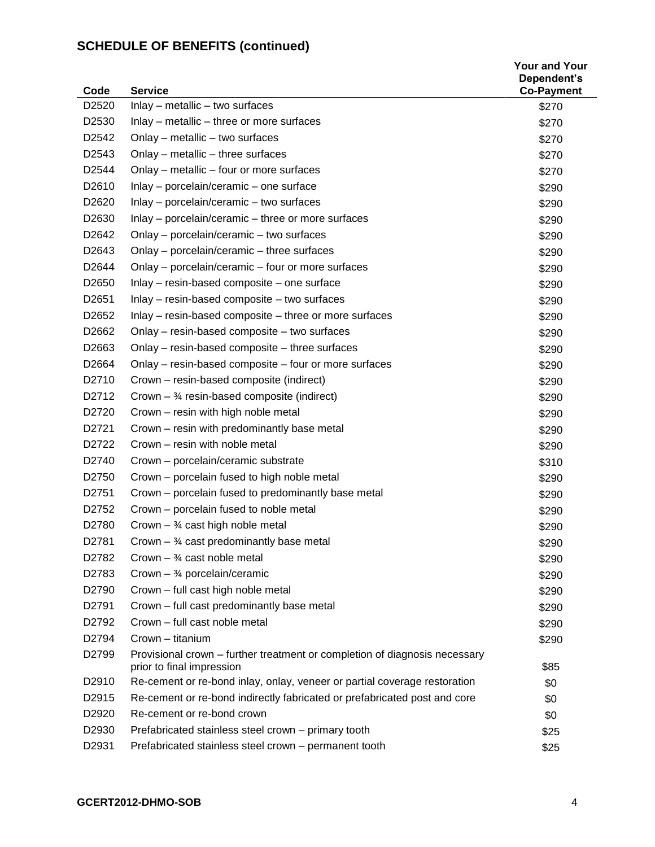| Code              | <b>Service</b>                                                                                          | <b>Your and Your</b><br>Dependent's<br><b>Co-Payment</b> |
|-------------------|---------------------------------------------------------------------------------------------------------|----------------------------------------------------------|
| D <sub>2520</sub> | $lnlay - metallic - two surfaces$                                                                       | \$270                                                    |
| D2530             | Inlay - metallic - three or more surfaces                                                               | \$270                                                    |
| D <sub>2542</sub> | Onlay - metallic - two surfaces                                                                         | \$270                                                    |
| D <sub>2543</sub> | Onlay - metallic - three surfaces                                                                       | \$270                                                    |
| D <sub>2544</sub> | Onlay – metallic – four or more surfaces                                                                | \$270                                                    |
| D2610             | Inlay - porcelain/ceramic - one surface                                                                 | \$290                                                    |
| D <sub>2620</sub> | Inlay - porcelain/ceramic - two surfaces                                                                | \$290                                                    |
| D2630             | Inlay – porcelain/ceramic – three or more surfaces                                                      | \$290                                                    |
| D <sub>2642</sub> | Onlay - porcelain/ceramic - two surfaces                                                                | \$290                                                    |
| D2643             | Onlay - porcelain/ceramic - three surfaces                                                              | \$290                                                    |
| D <sub>2644</sub> | Onlay – porcelain/ceramic – four or more surfaces                                                       | \$290                                                    |
| D2650             | Inlay - resin-based composite - one surface                                                             | \$290                                                    |
| D <sub>2651</sub> | Inlay - resin-based composite - two surfaces                                                            | \$290                                                    |
| D <sub>2652</sub> | Inlay – resin-based composite – three or more surfaces                                                  | \$290                                                    |
| D2662             | Onlay - resin-based composite - two surfaces                                                            | \$290                                                    |
| D <sub>2663</sub> | Onlay – resin-based composite – three surfaces                                                          | \$290                                                    |
| D <sub>2664</sub> | Onlay - resin-based composite - four or more surfaces                                                   | \$290                                                    |
| D2710             | Crown - resin-based composite (indirect)                                                                | \$290                                                    |
| D2712             | Crown $-$ 34 resin-based composite (indirect)                                                           | \$290                                                    |
| D2720             | Crown - resin with high noble metal                                                                     | \$290                                                    |
| D2721             | Crown - resin with predominantly base metal                                                             | \$290                                                    |
| D2722             | Crown - resin with noble metal                                                                          | \$290                                                    |
| D2740             | Crown - porcelain/ceramic substrate                                                                     | \$310                                                    |
| D <sub>2750</sub> | Crown – porcelain fused to high noble metal                                                             | \$290                                                    |
| D2751             | Crown – porcelain fused to predominantly base metal                                                     | \$290                                                    |
| D2752             | Crown – porcelain fused to noble metal                                                                  | \$290                                                    |
| D2780             | Crown $-$ 34 cast high noble metal                                                                      | \$290                                                    |
| D2781             | Crown $ \frac{3}{4}$ cast predominantly base metal                                                      | \$290                                                    |
| D <sub>2782</sub> | Crown $-$ <sup>3</sup> / <sub>4</sub> cast noble metal                                                  | \$290                                                    |
| D2783             | Crown $-$ 3/4 porcelain/ceramic                                                                         | \$290                                                    |
| D <sub>2790</sub> | Crown - full cast high noble metal                                                                      | \$290                                                    |
| D <sub>2791</sub> | Crown - full cast predominantly base metal                                                              | \$290                                                    |
| D2792             | Crown - full cast noble metal                                                                           | \$290                                                    |
| D2794             | Crown - titanium                                                                                        | \$290                                                    |
| D2799             | Provisional crown – further treatment or completion of diagnosis necessary<br>prior to final impression | \$85                                                     |
| D <sub>2910</sub> | Re-cement or re-bond inlay, onlay, veneer or partial coverage restoration                               | \$0                                                      |
| D <sub>2915</sub> | Re-cement or re-bond indirectly fabricated or prefabricated post and core                               | \$0                                                      |
| D <sub>2920</sub> | Re-cement or re-bond crown                                                                              | \$0                                                      |
| D <sub>2930</sub> | Prefabricated stainless steel crown - primary tooth                                                     | \$25                                                     |
| D2931             | Prefabricated stainless steel crown - permanent tooth                                                   | \$25                                                     |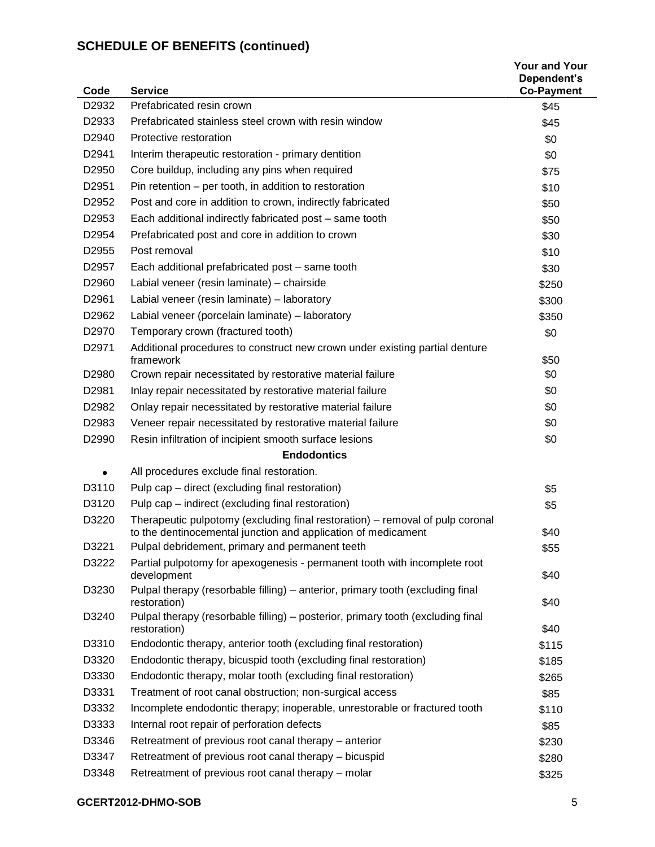| Code              | <b>Service</b>                                                                                                                                 | <b>Your and Your</b><br>Dependent's<br><b>Co-Payment</b> |
|-------------------|------------------------------------------------------------------------------------------------------------------------------------------------|----------------------------------------------------------|
| D2932             | Prefabricated resin crown                                                                                                                      | \$45                                                     |
| D2933             | Prefabricated stainless steel crown with resin window                                                                                          | \$45                                                     |
| D2940             | Protective restoration                                                                                                                         | \$0                                                      |
| D <sub>2941</sub> | Interim therapeutic restoration - primary dentition                                                                                            | \$0                                                      |
| D <sub>2950</sub> | Core buildup, including any pins when required                                                                                                 | \$75                                                     |
| D <sub>2951</sub> | Pin retention – per tooth, in addition to restoration                                                                                          | \$10                                                     |
| D <sub>2952</sub> | Post and core in addition to crown, indirectly fabricated                                                                                      | \$50                                                     |
| D2953             | Each additional indirectly fabricated post - same tooth                                                                                        | \$50                                                     |
| D <sub>2954</sub> | Prefabricated post and core in addition to crown                                                                                               | \$30                                                     |
| D2955             | Post removal                                                                                                                                   | \$10                                                     |
| D <sub>2957</sub> | Each additional prefabricated post - same tooth                                                                                                | \$30                                                     |
| D2960             | Labial veneer (resin laminate) - chairside                                                                                                     | \$250                                                    |
| D <sub>2961</sub> | Labial veneer (resin laminate) - laboratory                                                                                                    | \$300                                                    |
| D2962             | Labial veneer (porcelain laminate) - laboratory                                                                                                | \$350                                                    |
| D2970             | Temporary crown (fractured tooth)                                                                                                              | \$0                                                      |
| D2971             | Additional procedures to construct new crown under existing partial denture<br>framework                                                       | \$50                                                     |
| D <sub>2980</sub> | Crown repair necessitated by restorative material failure                                                                                      | \$0                                                      |
| D <sub>2981</sub> | Inlay repair necessitated by restorative material failure                                                                                      | \$0                                                      |
| D2982             | Onlay repair necessitated by restorative material failure                                                                                      | \$0                                                      |
| D2983             | Veneer repair necessitated by restorative material failure                                                                                     | \$0                                                      |
| D <sub>2990</sub> | Resin infiltration of incipient smooth surface lesions                                                                                         | \$0                                                      |
|                   | <b>Endodontics</b>                                                                                                                             |                                                          |
|                   | All procedures exclude final restoration.                                                                                                      |                                                          |
| D3110             | Pulp cap – direct (excluding final restoration)                                                                                                | \$5                                                      |
| D3120             | Pulp cap – indirect (excluding final restoration)                                                                                              | \$5                                                      |
| D3220             | Therapeutic pulpotomy (excluding final restoration) – removal of pulp coronal<br>to the dentinocemental junction and application of medicament | \$40                                                     |
| D3221             | Pulpal debridement, primary and permanent teeth                                                                                                | \$55                                                     |
| D3222             | Partial pulpotomy for apexogenesis - permanent tooth with incomplete root<br>development                                                       | \$40                                                     |
| D3230             | Pulpal therapy (resorbable filling) – anterior, primary tooth (excluding final<br>restoration)                                                 | \$40                                                     |
| D3240             | Pulpal therapy (resorbable filling) – posterior, primary tooth (excluding final<br>restoration)                                                | \$40                                                     |
| D3310             | Endodontic therapy, anterior tooth (excluding final restoration)                                                                               | \$115                                                    |
| D3320             | Endodontic therapy, bicuspid tooth (excluding final restoration)                                                                               | \$185                                                    |
| D3330             | Endodontic therapy, molar tooth (excluding final restoration)                                                                                  | \$265                                                    |
| D3331             | Treatment of root canal obstruction; non-surgical access                                                                                       | \$85                                                     |
| D3332             | Incomplete endodontic therapy; inoperable, unrestorable or fractured tooth                                                                     | \$110                                                    |
| D3333             | Internal root repair of perforation defects                                                                                                    | \$85                                                     |
| D3346             | Retreatment of previous root canal therapy - anterior                                                                                          | \$230                                                    |
| D3347             | Retreatment of previous root canal therapy - bicuspid                                                                                          | \$280                                                    |
| D3348             | Retreatment of previous root canal therapy - molar                                                                                             | \$325                                                    |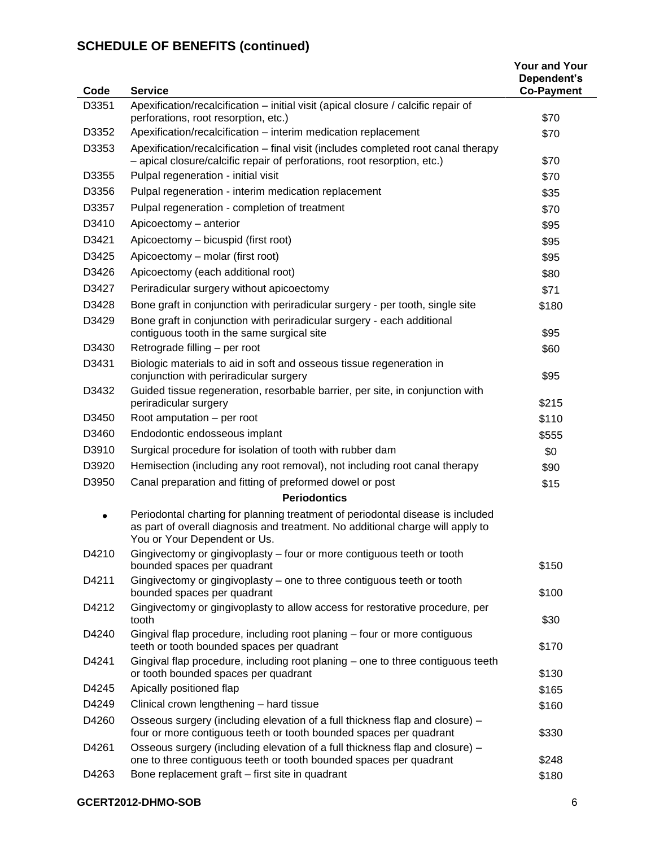| Code  | <b>Service</b>                                                                                                                                                                                   | <b>Your and Your</b><br>Dependent's<br><b>Co-Payment</b> |
|-------|--------------------------------------------------------------------------------------------------------------------------------------------------------------------------------------------------|----------------------------------------------------------|
| D3351 | Apexification/recalcification – initial visit (apical closure / calcific repair of                                                                                                               |                                                          |
|       | perforations, root resorption, etc.)                                                                                                                                                             | \$70                                                     |
| D3352 | Apexification/recalcification - interim medication replacement                                                                                                                                   | \$70                                                     |
| D3353 | Apexification/recalcification - final visit (includes completed root canal therapy<br>- apical closure/calcific repair of perforations, root resorption, etc.)                                   | \$70                                                     |
| D3355 | Pulpal regeneration - initial visit                                                                                                                                                              | \$70                                                     |
| D3356 | Pulpal regeneration - interim medication replacement                                                                                                                                             | \$35                                                     |
| D3357 | Pulpal regeneration - completion of treatment                                                                                                                                                    | \$70                                                     |
| D3410 | Apicoectomy - anterior                                                                                                                                                                           | \$95                                                     |
| D3421 | Apicoectomy – bicuspid (first root)                                                                                                                                                              | \$95                                                     |
| D3425 | Apicoectomy - molar (first root)                                                                                                                                                                 | \$95                                                     |
| D3426 | Apicoectomy (each additional root)                                                                                                                                                               | \$80                                                     |
| D3427 | Periradicular surgery without apicoectomy                                                                                                                                                        | \$71                                                     |
| D3428 | Bone graft in conjunction with periradicular surgery - per tooth, single site                                                                                                                    | \$180                                                    |
| D3429 | Bone graft in conjunction with periradicular surgery - each additional<br>contiguous tooth in the same surgical site                                                                             | \$95                                                     |
| D3430 | Retrograde filling - per root                                                                                                                                                                    | \$60                                                     |
| D3431 | Biologic materials to aid in soft and osseous tissue regeneration in<br>conjunction with periradicular surgery                                                                                   | \$95                                                     |
| D3432 | Guided tissue regeneration, resorbable barrier, per site, in conjunction with<br>periradicular surgery                                                                                           | \$215                                                    |
| D3450 | Root amputation - per root                                                                                                                                                                       | \$110                                                    |
| D3460 | Endodontic endosseous implant                                                                                                                                                                    | \$555                                                    |
| D3910 | Surgical procedure for isolation of tooth with rubber dam                                                                                                                                        | \$0                                                      |
| D3920 | Hemisection (including any root removal), not including root canal therapy                                                                                                                       | \$90                                                     |
| D3950 | Canal preparation and fitting of preformed dowel or post                                                                                                                                         | \$15                                                     |
|       | <b>Periodontics</b>                                                                                                                                                                              |                                                          |
|       | Periodontal charting for planning treatment of periodontal disease is included<br>as part of overall diagnosis and treatment. No additional charge will apply to<br>You or Your Dependent or Us. |                                                          |
| D4210 | Gingivectomy or gingivoplasty - four or more contiguous teeth or tooth<br>bounded spaces per quadrant                                                                                            | \$150                                                    |
| D4211 | Gingivectomy or gingivoplasty - one to three contiguous teeth or tooth<br>bounded spaces per quadrant                                                                                            | \$100                                                    |
| D4212 | Gingivectomy or gingivoplasty to allow access for restorative procedure, per<br>tooth                                                                                                            | \$30                                                     |
| D4240 | Gingival flap procedure, including root planing - four or more contiguous<br>teeth or tooth bounded spaces per quadrant                                                                          | \$170                                                    |
| D4241 | Gingival flap procedure, including root planing - one to three contiguous teeth<br>or tooth bounded spaces per quadrant                                                                          | \$130                                                    |
| D4245 | Apically positioned flap                                                                                                                                                                         | \$165                                                    |
| D4249 | Clinical crown lengthening - hard tissue                                                                                                                                                         | \$160                                                    |
| D4260 | Osseous surgery (including elevation of a full thickness flap and closure) –<br>four or more contiguous teeth or tooth bounded spaces per quadrant                                               | \$330                                                    |
| D4261 | Osseous surgery (including elevation of a full thickness flap and closure) -<br>one to three contiguous teeth or tooth bounded spaces per quadrant                                               | \$248                                                    |
| D4263 | Bone replacement graft - first site in quadrant                                                                                                                                                  | \$180                                                    |

## **GCERT2012-DHMO-SOB** 6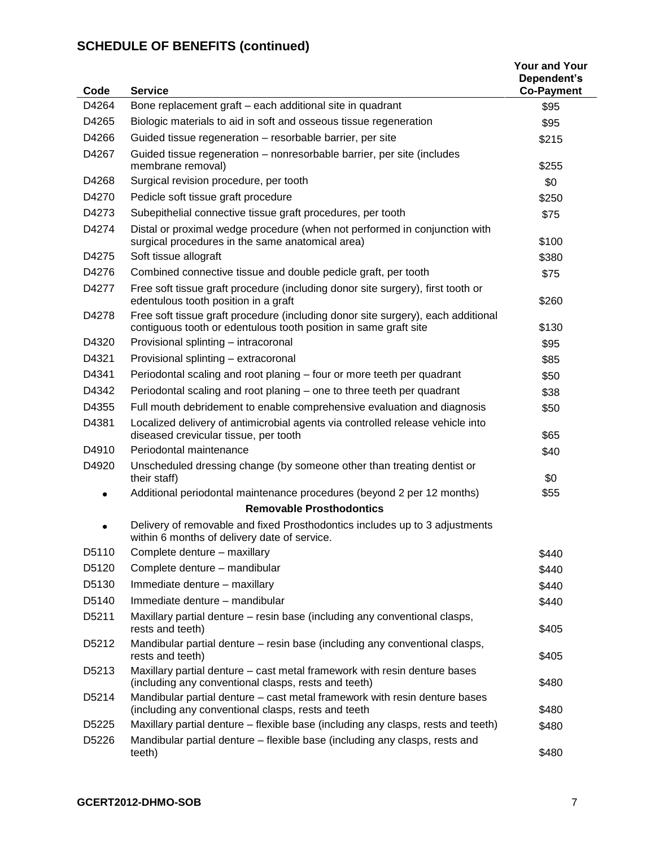| Code  | <b>Service</b>                                                                                                                                       | <b>Your and Your</b><br>Dependent's<br><b>Co-Payment</b> |
|-------|------------------------------------------------------------------------------------------------------------------------------------------------------|----------------------------------------------------------|
| D4264 | Bone replacement graft - each additional site in quadrant                                                                                            | \$95                                                     |
| D4265 | Biologic materials to aid in soft and osseous tissue regeneration                                                                                    | \$95                                                     |
| D4266 | Guided tissue regeneration - resorbable barrier, per site                                                                                            | \$215                                                    |
| D4267 | Guided tissue regeneration - nonresorbable barrier, per site (includes<br>membrane removal)                                                          | \$255                                                    |
| D4268 | Surgical revision procedure, per tooth                                                                                                               | \$0                                                      |
| D4270 | Pedicle soft tissue graft procedure                                                                                                                  | \$250                                                    |
| D4273 | Subepithelial connective tissue graft procedures, per tooth                                                                                          | \$75                                                     |
| D4274 | Distal or proximal wedge procedure (when not performed in conjunction with<br>surgical procedures in the same anatomical area)                       | \$100                                                    |
| D4275 | Soft tissue allograft                                                                                                                                | \$380                                                    |
| D4276 | Combined connective tissue and double pedicle graft, per tooth                                                                                       | \$75                                                     |
| D4277 | Free soft tissue graft procedure (including donor site surgery), first tooth or<br>edentulous tooth position in a graft                              | \$260                                                    |
| D4278 | Free soft tissue graft procedure (including donor site surgery), each additional<br>contiguous tooth or edentulous tooth position in same graft site | \$130                                                    |
| D4320 | Provisional splinting - intracoronal                                                                                                                 | \$95                                                     |
| D4321 | Provisional splinting - extracoronal                                                                                                                 | \$85                                                     |
| D4341 | Periodontal scaling and root planing - four or more teeth per quadrant                                                                               | \$50                                                     |
| D4342 | Periodontal scaling and root planing – one to three teeth per quadrant                                                                               | \$38                                                     |
| D4355 | Full mouth debridement to enable comprehensive evaluation and diagnosis                                                                              | \$50                                                     |
| D4381 | Localized delivery of antimicrobial agents via controlled release vehicle into<br>diseased crevicular tissue, per tooth                              | \$65                                                     |
| D4910 | Periodontal maintenance                                                                                                                              | \$40                                                     |
| D4920 | Unscheduled dressing change (by someone other than treating dentist or<br>their staff)                                                               | \$0                                                      |
| ٠     | Additional periodontal maintenance procedures (beyond 2 per 12 months)                                                                               | \$55                                                     |
|       | <b>Removable Prosthodontics</b>                                                                                                                      |                                                          |
|       | Delivery of removable and fixed Prosthodontics includes up to 3 adjustments<br>within 6 months of delivery date of service.                          |                                                          |
| D5110 | Complete denture - maxillary                                                                                                                         | \$440                                                    |
| D5120 | Complete denture - mandibular                                                                                                                        | \$440                                                    |
| D5130 | Immediate denture - maxillary                                                                                                                        | \$440                                                    |
| D5140 | Immediate denture - mandibular                                                                                                                       | \$440                                                    |
| D5211 | Maxillary partial denture – resin base (including any conventional clasps,<br>rests and teeth)                                                       | \$405                                                    |
| D5212 | Mandibular partial denture - resin base (including any conventional clasps,<br>rests and teeth)                                                      | \$405                                                    |
| D5213 | Maxillary partial denture – cast metal framework with resin denture bases<br>(including any conventional clasps, rests and teeth)                    | \$480                                                    |
| D5214 | Mandibular partial denture - cast metal framework with resin denture bases<br>(including any conventional clasps, rests and teeth                    | \$480                                                    |
| D5225 | Maxillary partial denture – flexible base (including any clasps, rests and teeth)                                                                    | \$480                                                    |
| D5226 | Mandibular partial denture – flexible base (including any clasps, rests and<br>teeth)                                                                | \$480                                                    |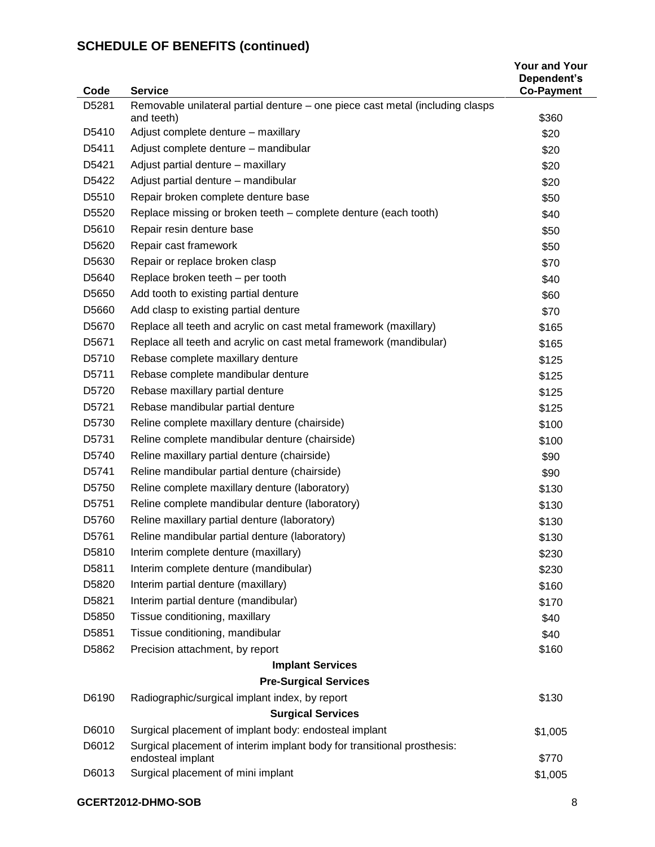| Code              | <b>Service</b>                                                                | <b>Your and Your</b><br>Dependent's<br><b>Co-Payment</b> |
|-------------------|-------------------------------------------------------------------------------|----------------------------------------------------------|
| D5281             | Removable unilateral partial denture – one piece cast metal (including clasps |                                                          |
|                   | and teeth)                                                                    | \$360                                                    |
| D5410             | Adjust complete denture - maxillary                                           | \$20                                                     |
| D5411             | Adjust complete denture - mandibular                                          | \$20                                                     |
| D5421             | Adjust partial denture - maxillary                                            | \$20                                                     |
| D5422             | Adjust partial denture - mandibular                                           | \$20                                                     |
| D5510             | Repair broken complete denture base                                           | \$50                                                     |
| D5520             | Replace missing or broken teeth - complete denture (each tooth)               | \$40                                                     |
| D5610             | Repair resin denture base                                                     | \$50                                                     |
| D5620             | Repair cast framework                                                         | \$50                                                     |
| D5630             | Repair or replace broken clasp                                                | \$70                                                     |
| D5640             | Replace broken teeth - per tooth                                              | \$40                                                     |
| D5650             | Add tooth to existing partial denture                                         | \$60                                                     |
| D5660             | Add clasp to existing partial denture                                         | \$70                                                     |
| D5670             | Replace all teeth and acrylic on cast metal framework (maxillary)             | \$165                                                    |
| D <sub>5671</sub> | Replace all teeth and acrylic on cast metal framework (mandibular)            | \$165                                                    |
| D5710             | Rebase complete maxillary denture                                             | \$125                                                    |
| D5711             | Rebase complete mandibular denture                                            | \$125                                                    |
| D5720             | Rebase maxillary partial denture                                              | \$125                                                    |
| D <sub>5721</sub> | Rebase mandibular partial denture                                             | \$125                                                    |
| D5730             | Reline complete maxillary denture (chairside)                                 | \$100                                                    |
| D5731             | Reline complete mandibular denture (chairside)                                | \$100                                                    |
| D5740             | Reline maxillary partial denture (chairside)                                  | \$90                                                     |
| D5741             | Reline mandibular partial denture (chairside)                                 | \$90                                                     |
| D5750             | Reline complete maxillary denture (laboratory)                                | \$130                                                    |
| D5751             | Reline complete mandibular denture (laboratory)                               | \$130                                                    |
| D5760             | Reline maxillary partial denture (laboratory)                                 | \$130                                                    |
| D5761             | Reline mandibular partial denture (laboratory)                                | \$130                                                    |
| D5810             | Interim complete denture (maxillary)                                          | \$230                                                    |
| D5811             | Interim complete denture (mandibular)                                         | \$230                                                    |
| D5820             | Interim partial denture (maxillary)                                           | \$160                                                    |
| D5821             | Interim partial denture (mandibular)                                          | \$170                                                    |
| D5850             | Tissue conditioning, maxillary                                                | \$40                                                     |
| D5851             | Tissue conditioning, mandibular                                               | \$40                                                     |
| D5862             | Precision attachment, by report                                               | \$160                                                    |
|                   | <b>Implant Services</b>                                                       |                                                          |
|                   | <b>Pre-Surgical Services</b>                                                  |                                                          |
| D6190             | Radiographic/surgical implant index, by report                                | \$130                                                    |
|                   | <b>Surgical Services</b>                                                      |                                                          |
| D6010             | Surgical placement of implant body: endosteal implant                         | \$1,005                                                  |
| D6012             | Surgical placement of interim implant body for transitional prosthesis:       |                                                          |
|                   | endosteal implant                                                             | \$770                                                    |
| D6013             | Surgical placement of mini implant                                            | \$1,005                                                  |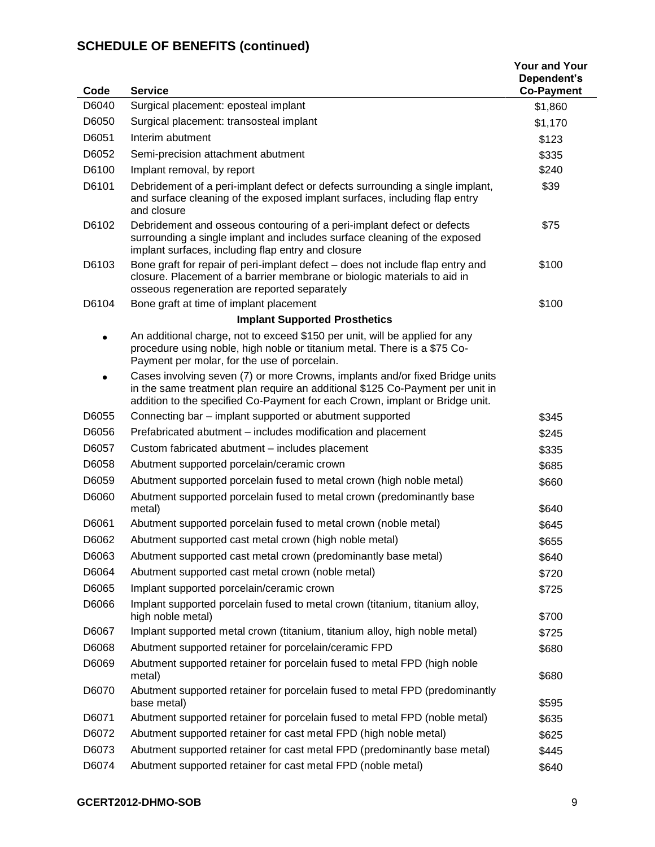| Code      | <b>Service</b>                                                                                                                                                                                                                                | <b>Your and Your</b><br>Dependent's<br><b>Co-Payment</b> |
|-----------|-----------------------------------------------------------------------------------------------------------------------------------------------------------------------------------------------------------------------------------------------|----------------------------------------------------------|
| D6040     | Surgical placement: eposteal implant                                                                                                                                                                                                          | \$1,860                                                  |
| D6050     | Surgical placement: transosteal implant                                                                                                                                                                                                       | \$1,170                                                  |
| D6051     | Interim abutment                                                                                                                                                                                                                              | \$123                                                    |
| D6052     | Semi-precision attachment abutment                                                                                                                                                                                                            | \$335                                                    |
| D6100     | Implant removal, by report                                                                                                                                                                                                                    | \$240                                                    |
| D6101     | Debridement of a peri-implant defect or defects surrounding a single implant,<br>and surface cleaning of the exposed implant surfaces, including flap entry<br>and closure                                                                    | \$39                                                     |
| D6102     | Debridement and osseous contouring of a peri-implant defect or defects<br>surrounding a single implant and includes surface cleaning of the exposed<br>implant surfaces, including flap entry and closure                                     | \$75                                                     |
| D6103     | Bone graft for repair of peri-implant defect - does not include flap entry and<br>closure. Placement of a barrier membrane or biologic materials to aid in<br>osseous regeneration are reported separately                                    | \$100                                                    |
| D6104     | Bone graft at time of implant placement                                                                                                                                                                                                       | \$100                                                    |
|           | <b>Implant Supported Prosthetics</b>                                                                                                                                                                                                          |                                                          |
| ٠         | An additional charge, not to exceed \$150 per unit, will be applied for any<br>procedure using noble, high noble or titanium metal. There is a \$75 Co-<br>Payment per molar, for the use of porcelain.                                       |                                                          |
| $\bullet$ | Cases involving seven (7) or more Crowns, implants and/or fixed Bridge units<br>in the same treatment plan require an additional \$125 Co-Payment per unit in<br>addition to the specified Co-Payment for each Crown, implant or Bridge unit. |                                                          |
| D6055     | Connecting bar - implant supported or abutment supported                                                                                                                                                                                      | \$345                                                    |
| D6056     | Prefabricated abutment - includes modification and placement                                                                                                                                                                                  | \$245                                                    |
| D6057     | Custom fabricated abutment - includes placement                                                                                                                                                                                               | \$335                                                    |
| D6058     | Abutment supported porcelain/ceramic crown                                                                                                                                                                                                    | \$685                                                    |
| D6059     | Abutment supported porcelain fused to metal crown (high noble metal)                                                                                                                                                                          | \$660                                                    |
| D6060     | Abutment supported porcelain fused to metal crown (predominantly base<br>metal)                                                                                                                                                               | \$640                                                    |
| D6061     | Abutment supported porcelain fused to metal crown (noble metal)                                                                                                                                                                               | \$645                                                    |
| D6062     | Abutment supported cast metal crown (high noble metal)                                                                                                                                                                                        | \$655                                                    |
| D6063     | Abutment supported cast metal crown (predominantly base metal)                                                                                                                                                                                | \$640                                                    |
| D6064     | Abutment supported cast metal crown (noble metal)                                                                                                                                                                                             | \$720                                                    |
| D6065     | Implant supported porcelain/ceramic crown                                                                                                                                                                                                     | \$725                                                    |
| D6066     | Implant supported porcelain fused to metal crown (titanium, titanium alloy,<br>high noble metal)                                                                                                                                              | \$700                                                    |
| D6067     | Implant supported metal crown (titanium, titanium alloy, high noble metal)                                                                                                                                                                    | \$725                                                    |
| D6068     | Abutment supported retainer for porcelain/ceramic FPD                                                                                                                                                                                         | \$680                                                    |
| D6069     | Abutment supported retainer for porcelain fused to metal FPD (high noble<br>metal)                                                                                                                                                            | \$680                                                    |
| D6070     | Abutment supported retainer for porcelain fused to metal FPD (predominantly<br>base metal)                                                                                                                                                    | \$595                                                    |
| D6071     | Abutment supported retainer for porcelain fused to metal FPD (noble metal)                                                                                                                                                                    | \$635                                                    |
| D6072     | Abutment supported retainer for cast metal FPD (high noble metal)                                                                                                                                                                             | \$625                                                    |
| D6073     | Abutment supported retainer for cast metal FPD (predominantly base metal)                                                                                                                                                                     | \$445                                                    |
| D6074     | Abutment supported retainer for cast metal FPD (noble metal)                                                                                                                                                                                  | \$640                                                    |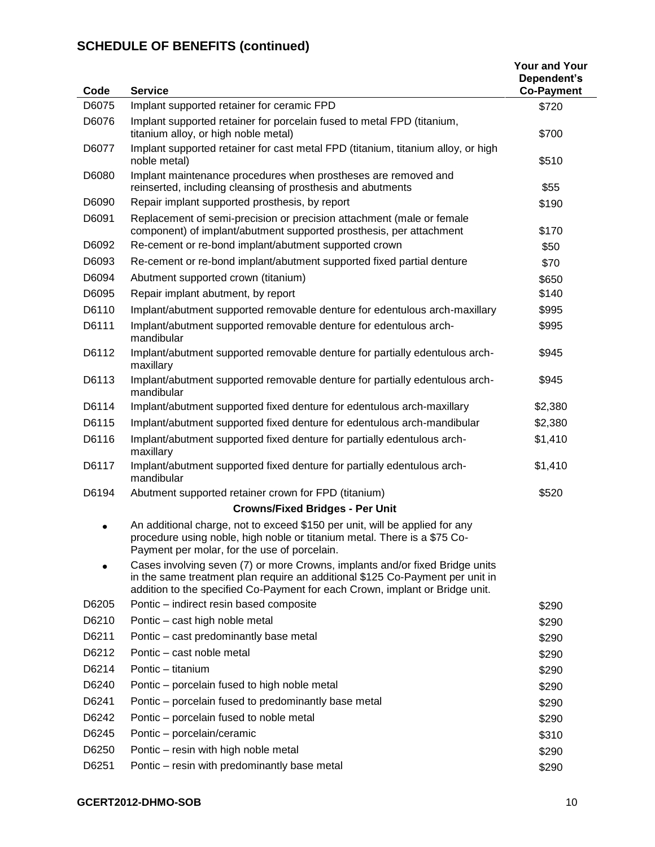| Code  | <b>Service</b>                                                                                                                                                                                                                                | <b>Your and Your</b><br>Dependent's<br><b>Co-Payment</b> |
|-------|-----------------------------------------------------------------------------------------------------------------------------------------------------------------------------------------------------------------------------------------------|----------------------------------------------------------|
| D6075 | Implant supported retainer for ceramic FPD                                                                                                                                                                                                    | \$720                                                    |
| D6076 | Implant supported retainer for porcelain fused to metal FPD (titanium,<br>titanium alloy, or high noble metal)                                                                                                                                | \$700                                                    |
| D6077 | Implant supported retainer for cast metal FPD (titanium, titanium alloy, or high<br>noble metal)                                                                                                                                              | \$510                                                    |
| D6080 | Implant maintenance procedures when prostheses are removed and<br>reinserted, including cleansing of prosthesis and abutments                                                                                                                 | \$55                                                     |
| D6090 | Repair implant supported prosthesis, by report                                                                                                                                                                                                | \$190                                                    |
| D6091 | Replacement of semi-precision or precision attachment (male or female<br>component) of implant/abutment supported prosthesis, per attachment                                                                                                  | \$170                                                    |
| D6092 | Re-cement or re-bond implant/abutment supported crown                                                                                                                                                                                         | \$50                                                     |
| D6093 | Re-cement or re-bond implant/abutment supported fixed partial denture                                                                                                                                                                         | \$70                                                     |
| D6094 | Abutment supported crown (titanium)                                                                                                                                                                                                           | \$650                                                    |
| D6095 | Repair implant abutment, by report                                                                                                                                                                                                            | \$140                                                    |
| D6110 | Implant/abutment supported removable denture for edentulous arch-maxillary                                                                                                                                                                    | \$995                                                    |
| D6111 | Implant/abutment supported removable denture for edentulous arch-<br>mandibular                                                                                                                                                               | \$995                                                    |
| D6112 | Implant/abutment supported removable denture for partially edentulous arch-<br>maxillary                                                                                                                                                      | \$945                                                    |
| D6113 | Implant/abutment supported removable denture for partially edentulous arch-<br>mandibular                                                                                                                                                     | \$945                                                    |
| D6114 | Implant/abutment supported fixed denture for edentulous arch-maxillary                                                                                                                                                                        | \$2,380                                                  |
| D6115 | Implant/abutment supported fixed denture for edentulous arch-mandibular                                                                                                                                                                       | \$2,380                                                  |
| D6116 | Implant/abutment supported fixed denture for partially edentulous arch-<br>maxillary                                                                                                                                                          | \$1,410                                                  |
| D6117 | Implant/abutment supported fixed denture for partially edentulous arch-<br>mandibular                                                                                                                                                         | \$1,410                                                  |
| D6194 | Abutment supported retainer crown for FPD (titanium)                                                                                                                                                                                          | \$520                                                    |
|       | <b>Crowns/Fixed Bridges - Per Unit</b>                                                                                                                                                                                                        |                                                          |
|       | An additional charge, not to exceed \$150 per unit, will be applied for any<br>procedure using noble, high noble or titanium metal. There is a \$75 Co-<br>Payment per molar, for the use of porcelain.                                       |                                                          |
|       | Cases involving seven (7) or more Crowns, implants and/or fixed Bridge units<br>in the same treatment plan require an additional \$125 Co-Payment per unit in<br>addition to the specified Co-Payment for each Crown, implant or Bridge unit. |                                                          |
| D6205 | Pontic - indirect resin based composite                                                                                                                                                                                                       | \$290                                                    |
| D6210 | Pontic - cast high noble metal                                                                                                                                                                                                                | \$290                                                    |
| D6211 | Pontic - cast predominantly base metal                                                                                                                                                                                                        | \$290                                                    |
| D6212 | Pontic - cast noble metal                                                                                                                                                                                                                     | \$290                                                    |
| D6214 | Pontic - titanium                                                                                                                                                                                                                             | \$290                                                    |
| D6240 | Pontic – porcelain fused to high noble metal                                                                                                                                                                                                  | \$290                                                    |
| D6241 | Pontic - porcelain fused to predominantly base metal                                                                                                                                                                                          | \$290                                                    |
| D6242 | Pontic - porcelain fused to noble metal                                                                                                                                                                                                       | \$290                                                    |
| D6245 | Pontic - porcelain/ceramic                                                                                                                                                                                                                    | \$310                                                    |
| D6250 | Pontic - resin with high noble metal                                                                                                                                                                                                          | \$290                                                    |
| D6251 | Pontic - resin with predominantly base metal                                                                                                                                                                                                  | \$290                                                    |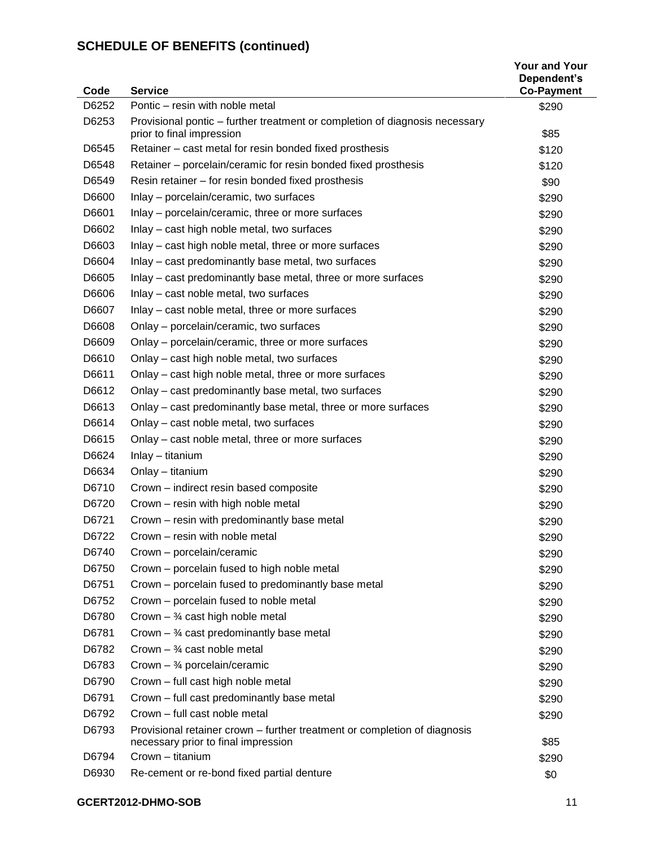| Code  | <b>Service</b>                                                                                                   | <b>Your and Your</b><br>Dependent's<br><b>Co-Payment</b> |
|-------|------------------------------------------------------------------------------------------------------------------|----------------------------------------------------------|
| D6252 | Pontic - resin with noble metal                                                                                  | \$290                                                    |
| D6253 | Provisional pontic - further treatment or completion of diagnosis necessary<br>prior to final impression         | \$85                                                     |
| D6545 | Retainer - cast metal for resin bonded fixed prosthesis                                                          | \$120                                                    |
| D6548 | Retainer – porcelain/ceramic for resin bonded fixed prosthesis                                                   | \$120                                                    |
| D6549 | Resin retainer - for resin bonded fixed prosthesis                                                               | \$90                                                     |
| D6600 | Inlay - porcelain/ceramic, two surfaces                                                                          | \$290                                                    |
| D6601 | Inlay – porcelain/ceramic, three or more surfaces                                                                | \$290                                                    |
| D6602 | Inlay – cast high noble metal, two surfaces                                                                      | \$290                                                    |
| D6603 | Inlay – cast high noble metal, three or more surfaces                                                            | \$290                                                    |
| D6604 | Inlay – cast predominantly base metal, two surfaces                                                              | \$290                                                    |
| D6605 | Inlay – cast predominantly base metal, three or more surfaces                                                    | \$290                                                    |
| D6606 | Inlay - cast noble metal, two surfaces                                                                           | \$290                                                    |
| D6607 | Inlay - cast noble metal, three or more surfaces                                                                 | \$290                                                    |
| D6608 | Onlay - porcelain/ceramic, two surfaces                                                                          | \$290                                                    |
| D6609 | Onlay – porcelain/ceramic, three or more surfaces                                                                | \$290                                                    |
| D6610 | Onlay - cast high noble metal, two surfaces                                                                      | \$290                                                    |
| D6611 | Onlay – cast high noble metal, three or more surfaces                                                            | \$290                                                    |
| D6612 | Onlay – cast predominantly base metal, two surfaces                                                              | \$290                                                    |
| D6613 | Onlay – cast predominantly base metal, three or more surfaces                                                    | \$290                                                    |
| D6614 | Onlay - cast noble metal, two surfaces                                                                           | \$290                                                    |
| D6615 | Onlay – cast noble metal, three or more surfaces                                                                 | \$290                                                    |
| D6624 | Inlay - titanium                                                                                                 | \$290                                                    |
| D6634 | Onlay - titanium                                                                                                 | \$290                                                    |
| D6710 | Crown - indirect resin based composite                                                                           | \$290                                                    |
| D6720 | Crown - resin with high noble metal                                                                              | \$290                                                    |
| D6721 | Crown - resin with predominantly base metal                                                                      | \$290                                                    |
| D6722 | Crown – resin with noble metal                                                                                   | \$290                                                    |
| D6740 | Crown - porcelain/ceramic                                                                                        | \$290                                                    |
| D6750 | Crown - porcelain fused to high noble metal                                                                      | \$290                                                    |
| D6751 | Crown - porcelain fused to predominantly base metal                                                              | \$290                                                    |
| D6752 | Crown – porcelain fused to noble metal                                                                           | \$290                                                    |
| D6780 | Crown $-$ 34 cast high noble metal                                                                               | \$290                                                    |
| D6781 | Crown $-$ 34 cast predominantly base metal                                                                       | \$290                                                    |
| D6782 | Crown $ \frac{3}{4}$ cast noble metal                                                                            | \$290                                                    |
| D6783 | Crown $-$ 3/4 porcelain/ceramic                                                                                  | \$290                                                    |
| D6790 | Crown - full cast high noble metal                                                                               | \$290                                                    |
| D6791 | Crown - full cast predominantly base metal                                                                       | \$290                                                    |
| D6792 | Crown - full cast noble metal                                                                                    | \$290                                                    |
| D6793 | Provisional retainer crown – further treatment or completion of diagnosis<br>necessary prior to final impression | \$85                                                     |
| D6794 | Crown - titanium                                                                                                 | \$290                                                    |
| D6930 | Re-cement or re-bond fixed partial denture                                                                       | \$0                                                      |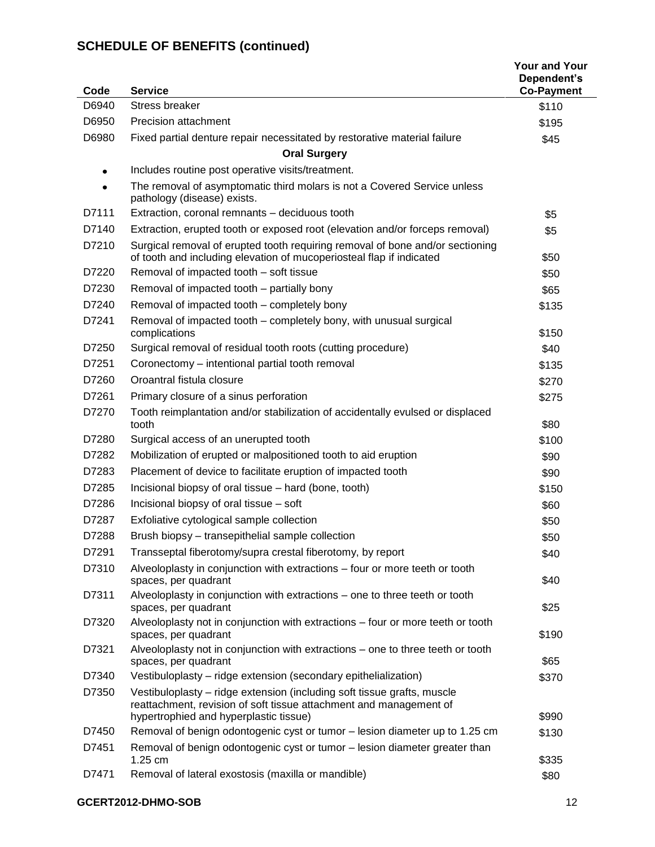| Code           | <b>Service</b>                                                                                                                                            | <b>Your and Your</b><br>Dependent's<br><b>Co-Payment</b> |
|----------------|-----------------------------------------------------------------------------------------------------------------------------------------------------------|----------------------------------------------------------|
| D6940          | <b>Stress breaker</b>                                                                                                                                     | \$110                                                    |
| D6950          | Precision attachment                                                                                                                                      | \$195                                                    |
| D6980          | Fixed partial denture repair necessitated by restorative material failure                                                                                 | \$45                                                     |
|                | <b>Oral Surgery</b>                                                                                                                                       |                                                          |
| $\bullet$      | Includes routine post operative visits/treatment.                                                                                                         |                                                          |
|                | The removal of asymptomatic third molars is not a Covered Service unless<br>pathology (disease) exists.                                                   |                                                          |
| D7111          | Extraction, coronal remnants - deciduous tooth                                                                                                            | \$5                                                      |
| D7140          | Extraction, erupted tooth or exposed root (elevation and/or forceps removal)                                                                              | \$5                                                      |
| D7210          | Surgical removal of erupted tooth requiring removal of bone and/or sectioning<br>of tooth and including elevation of mucoperiosteal flap if indicated     | \$50                                                     |
| D7220          | Removal of impacted tooth - soft tissue                                                                                                                   | \$50                                                     |
| D7230          | Removal of impacted tooth - partially bony                                                                                                                | \$65                                                     |
| D7240          | Removal of impacted tooth - completely bony                                                                                                               | \$135                                                    |
| D7241          | Removal of impacted tooth - completely bony, with unusual surgical<br>complications                                                                       | \$150                                                    |
| D7250          | Surgical removal of residual tooth roots (cutting procedure)                                                                                              | \$40                                                     |
| D7251          | Coronectomy - intentional partial tooth removal                                                                                                           | \$135                                                    |
| D7260          | Oroantral fistula closure                                                                                                                                 | \$270                                                    |
| D7261          | Primary closure of a sinus perforation                                                                                                                    | \$275                                                    |
| D7270          | Tooth reimplantation and/or stabilization of accidentally evulsed or displaced<br>tooth                                                                   | \$80                                                     |
| D7280          | Surgical access of an unerupted tooth                                                                                                                     | \$100                                                    |
| D7282          | Mobilization of erupted or malpositioned tooth to aid eruption                                                                                            | \$90                                                     |
| D7283          | Placement of device to facilitate eruption of impacted tooth                                                                                              | \$90                                                     |
| D7285          | Incisional biopsy of oral tissue - hard (bone, tooth)                                                                                                     | \$150                                                    |
| D7286          | Incisional biopsy of oral tissue - soft                                                                                                                   | \$60                                                     |
| D7287          | Exfoliative cytological sample collection                                                                                                                 | \$50                                                     |
| D7288          | Brush biopsy - transepithelial sample collection                                                                                                          | \$50                                                     |
| D7291          | Transseptal fiberotomy/supra crestal fiberotomy, by report                                                                                                | \$40                                                     |
| D7310          | Alveoloplasty in conjunction with extractions - four or more teeth or tooth<br>spaces, per quadrant                                                       | \$40                                                     |
| D7311          | Alveoloplasty in conjunction with extractions - one to three teeth or tooth<br>spaces, per quadrant                                                       | \$25                                                     |
| D7320          | Alveoloplasty not in conjunction with extractions - four or more teeth or tooth<br>spaces, per quadrant                                                   | \$190                                                    |
| D7321          | Alveoloplasty not in conjunction with extractions - one to three teeth or tooth<br>spaces, per quadrant                                                   | \$65                                                     |
| D7340          | Vestibuloplasty - ridge extension (secondary epithelialization)                                                                                           | \$370                                                    |
| D7350          | Vestibuloplasty - ridge extension (including soft tissue grafts, muscle<br>reattachment, revision of soft tissue attachment and management of             |                                                          |
|                | hypertrophied and hyperplastic tissue)                                                                                                                    | \$990                                                    |
| D7450<br>D7451 | Removal of benign odontogenic cyst or tumor - lesion diameter up to 1.25 cm<br>Removal of benign odontogenic cyst or tumor - lesion diameter greater than | \$130                                                    |
|                | 1.25 cm                                                                                                                                                   | \$335                                                    |
| D7471          | Removal of lateral exostosis (maxilla or mandible)                                                                                                        | \$80                                                     |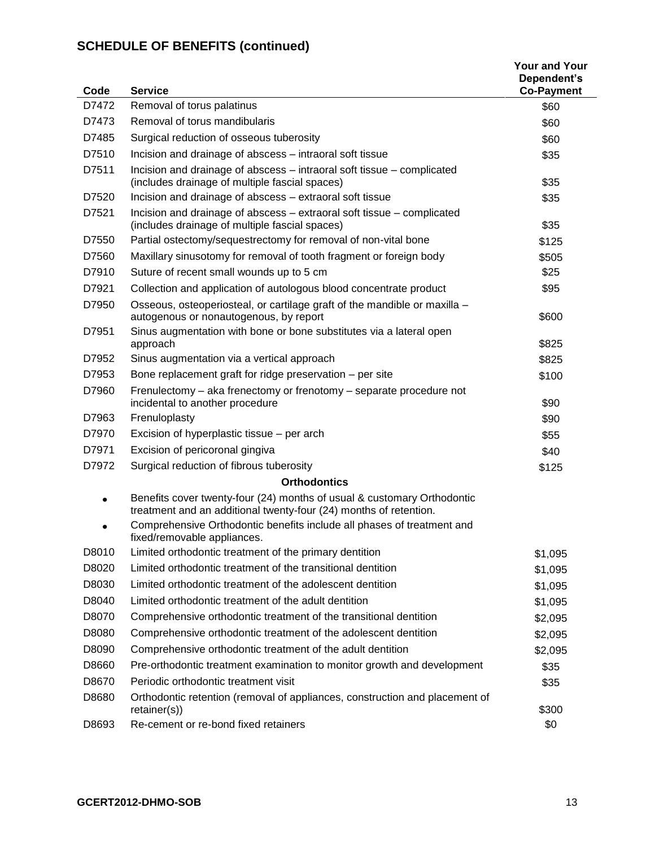| Code  | <b>Service</b>                                                                                                                               | <b>Your and Your</b><br>Dependent's<br><b>Co-Payment</b> |
|-------|----------------------------------------------------------------------------------------------------------------------------------------------|----------------------------------------------------------|
| D7472 | Removal of torus palatinus                                                                                                                   | \$60                                                     |
| D7473 | Removal of torus mandibularis                                                                                                                | \$60                                                     |
| D7485 | Surgical reduction of osseous tuberosity                                                                                                     | \$60                                                     |
| D7510 | Incision and drainage of abscess - intraoral soft tissue                                                                                     | \$35                                                     |
| D7511 | Incision and drainage of abscess - intraoral soft tissue - complicated                                                                       |                                                          |
|       | (includes drainage of multiple fascial spaces)                                                                                               | \$35                                                     |
| D7520 | Incision and drainage of abscess - extraoral soft tissue                                                                                     | \$35                                                     |
| D7521 | Incision and drainage of abscess - extraoral soft tissue - complicated<br>(includes drainage of multiple fascial spaces)                     | \$35                                                     |
| D7550 | Partial ostectomy/sequestrectomy for removal of non-vital bone                                                                               | \$125                                                    |
| D7560 | Maxillary sinusotomy for removal of tooth fragment or foreign body                                                                           | \$505                                                    |
| D7910 | Suture of recent small wounds up to 5 cm                                                                                                     | \$25                                                     |
| D7921 | Collection and application of autologous blood concentrate product                                                                           | \$95                                                     |
| D7950 | Osseous, osteoperiosteal, or cartilage graft of the mandible or maxilla -<br>autogenous or nonautogenous, by report                          | \$600                                                    |
| D7951 | Sinus augmentation with bone or bone substitutes via a lateral open<br>approach                                                              | \$825                                                    |
| D7952 | Sinus augmentation via a vertical approach                                                                                                   | \$825                                                    |
| D7953 | Bone replacement graft for ridge preservation - per site                                                                                     | \$100                                                    |
| D7960 | Frenulectomy - aka frenectomy or frenotomy - separate procedure not<br>incidental to another procedure                                       | \$90                                                     |
| D7963 | Frenuloplasty                                                                                                                                | \$90                                                     |
| D7970 | Excision of hyperplastic tissue – per arch                                                                                                   | \$55                                                     |
| D7971 | Excision of pericoronal gingiva                                                                                                              | \$40                                                     |
| D7972 | Surgical reduction of fibrous tuberosity                                                                                                     | \$125                                                    |
|       | <b>Orthodontics</b>                                                                                                                          |                                                          |
| ٠     | Benefits cover twenty-four (24) months of usual & customary Orthodontic<br>treatment and an additional twenty-four (24) months of retention. |                                                          |
|       | Comprehensive Orthodontic benefits include all phases of treatment and<br>fixed/removable appliances.                                        |                                                          |
| D8010 | Limited orthodontic treatment of the primary dentition                                                                                       | \$1,095                                                  |
| D8020 | Limited orthodontic treatment of the transitional dentition                                                                                  | \$1,095                                                  |
| D8030 | Limited orthodontic treatment of the adolescent dentition                                                                                    | \$1,095                                                  |
| D8040 | Limited orthodontic treatment of the adult dentition                                                                                         | \$1,095                                                  |
| D8070 | Comprehensive orthodontic treatment of the transitional dentition                                                                            | \$2,095                                                  |
| D8080 | Comprehensive orthodontic treatment of the adolescent dentition                                                                              | \$2,095                                                  |
| D8090 | Comprehensive orthodontic treatment of the adult dentition                                                                                   | \$2,095                                                  |
| D8660 | Pre-orthodontic treatment examination to monitor growth and development                                                                      | \$35                                                     |
| D8670 | Periodic orthodontic treatment visit                                                                                                         | \$35                                                     |
| D8680 | Orthodontic retention (removal of appliances, construction and placement of<br>retainer(s)                                                   | \$300                                                    |
| D8693 | Re-cement or re-bond fixed retainers                                                                                                         | \$0                                                      |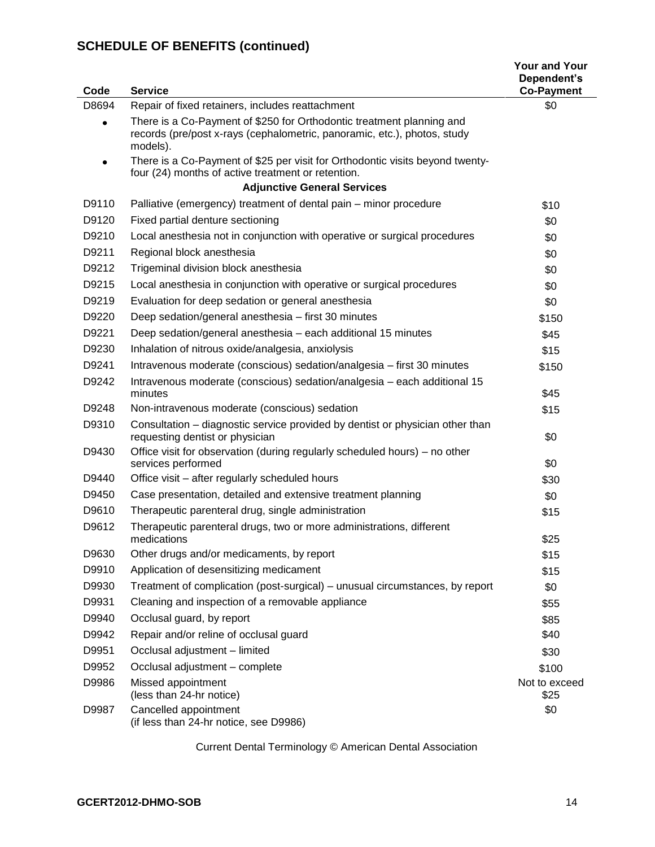| Code      | <b>Service</b>                                                                                                                                                | <b>Your and Your</b><br>Dependent's<br><b>Co-Payment</b> |
|-----------|---------------------------------------------------------------------------------------------------------------------------------------------------------------|----------------------------------------------------------|
| D8694     | Repair of fixed retainers, includes reattachment                                                                                                              | \$0                                                      |
|           | There is a Co-Payment of \$250 for Orthodontic treatment planning and<br>records (pre/post x-rays (cephalometric, panoramic, etc.), photos, study<br>models). |                                                          |
| $\bullet$ | There is a Co-Payment of \$25 per visit for Orthodontic visits beyond twenty-<br>four (24) months of active treatment or retention.                           |                                                          |
|           | <b>Adjunctive General Services</b>                                                                                                                            |                                                          |
| D9110     | Palliative (emergency) treatment of dental pain – minor procedure                                                                                             | \$10                                                     |
| D9120     | Fixed partial denture sectioning                                                                                                                              | \$0                                                      |
| D9210     | Local anesthesia not in conjunction with operative or surgical procedures                                                                                     | \$0                                                      |
| D9211     | Regional block anesthesia                                                                                                                                     | \$0                                                      |
| D9212     | Trigeminal division block anesthesia                                                                                                                          | \$0                                                      |
| D9215     | Local anesthesia in conjunction with operative or surgical procedures                                                                                         | \$0                                                      |
| D9219     | Evaluation for deep sedation or general anesthesia                                                                                                            | \$0                                                      |
| D9220     | Deep sedation/general anesthesia - first 30 minutes                                                                                                           | \$150                                                    |
| D9221     | Deep sedation/general anesthesia - each additional 15 minutes                                                                                                 | \$45                                                     |
| D9230     | Inhalation of nitrous oxide/analgesia, anxiolysis                                                                                                             | \$15                                                     |
| D9241     | Intravenous moderate (conscious) sedation/analgesia - first 30 minutes                                                                                        | \$150                                                    |
| D9242     | Intravenous moderate (conscious) sedation/analgesia - each additional 15<br>minutes                                                                           | \$45                                                     |
| D9248     | Non-intravenous moderate (conscious) sedation                                                                                                                 | \$15                                                     |
| D9310     | Consultation – diagnostic service provided by dentist or physician other than<br>requesting dentist or physician                                              | \$0                                                      |
| D9430     | Office visit for observation (during regularly scheduled hours) – no other<br>services performed                                                              | \$0                                                      |
| D9440     | Office visit – after regularly scheduled hours                                                                                                                | \$30                                                     |
| D9450     | Case presentation, detailed and extensive treatment planning                                                                                                  | \$0                                                      |
| D9610     | Therapeutic parenteral drug, single administration                                                                                                            | \$15                                                     |
| D9612     | Therapeutic parenteral drugs, two or more administrations, different<br>medications                                                                           | \$25                                                     |
| D9630     | Other drugs and/or medicaments, by report                                                                                                                     | \$15                                                     |
| D9910     | Application of desensitizing medicament                                                                                                                       | \$15                                                     |
| D9930     | Treatment of complication (post-surgical) – unusual circumstances, by report                                                                                  | \$0                                                      |
| D9931     | Cleaning and inspection of a removable appliance                                                                                                              | \$55                                                     |
| D9940     | Occlusal guard, by report                                                                                                                                     | \$85                                                     |
| D9942     | Repair and/or reline of occlusal guard                                                                                                                        | \$40                                                     |
| D9951     | Occlusal adjustment - limited                                                                                                                                 | \$30                                                     |
| D9952     | Occlusal adjustment - complete                                                                                                                                | \$100                                                    |
| D9986     | Missed appointment<br>(less than 24-hr notice)                                                                                                                | Not to exceed<br>\$25                                    |
| D9987     | Cancelled appointment<br>(if less than 24-hr notice, see D9986)                                                                                               | \$0                                                      |

Current Dental Terminology © American Dental Association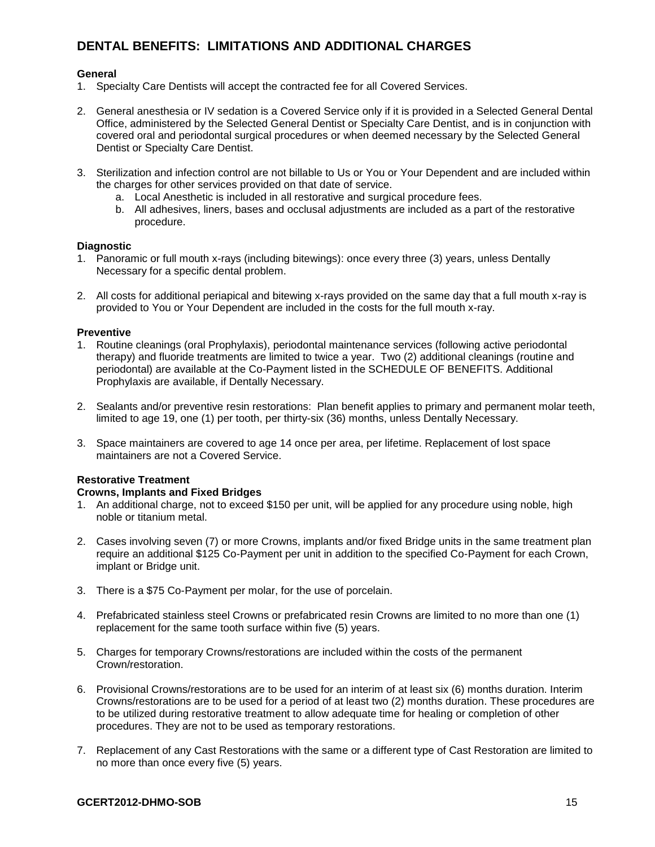## **DENTAL BENEFITS: LIMITATIONS AND ADDITIONAL CHARGES**

### **General**

- 1. Specialty Care Dentists will accept the contracted fee for all Covered Services.
- 2. General anesthesia or IV sedation is a Covered Service only if it is provided in a Selected General Dental Office, administered by the Selected General Dentist or Specialty Care Dentist, and is in conjunction with covered oral and periodontal surgical procedures or when deemed necessary by the Selected General Dentist or Specialty Care Dentist.
- 3. Sterilization and infection control are not billable to Us or You or Your Dependent and are included within the charges for other services provided on that date of service.
	- a. Local Anesthetic is included in all restorative and surgical procedure fees.
	- b. All adhesives, liners, bases and occlusal adjustments are included as a part of the restorative procedure.

#### **Diagnostic**

- 1. Panoramic or full mouth x-rays (including bitewings): once every three (3) years, unless Dentally Necessary for a specific dental problem.
- 2. All costs for additional periapical and bitewing x-rays provided on the same day that a full mouth x-ray is provided to You or Your Dependent are included in the costs for the full mouth x-ray.

#### **Preventive**

- 1. Routine cleanings (oral Prophylaxis), periodontal maintenance services (following active periodontal therapy) and fluoride treatments are limited to twice a year. Two (2) additional cleanings (routine and periodontal) are available at the Co-Payment listed in the SCHEDULE OF BENEFITS. Additional Prophylaxis are available, if Dentally Necessary.
- 2. Sealants and/or preventive resin restorations: Plan benefit applies to primary and permanent molar teeth, limited to age 19, one (1) per tooth, per thirty-six (36) months, unless Dentally Necessary.
- 3. Space maintainers are covered to age 14 once per area, per lifetime. Replacement of lost space maintainers are not a Covered Service.

## **Restorative Treatment**

#### **Crowns, Implants and Fixed Bridges**

- 1. An additional charge, not to exceed \$150 per unit, will be applied for any procedure using noble, high noble or titanium metal.
- 2. Cases involving seven (7) or more Crowns, implants and/or fixed Bridge units in the same treatment plan require an additional \$125 Co-Payment per unit in addition to the specified Co-Payment for each Crown, implant or Bridge unit.
- 3. There is a \$75 Co-Payment per molar, for the use of porcelain.
- 4. Prefabricated stainless steel Crowns or prefabricated resin Crowns are limited to no more than one (1) replacement for the same tooth surface within five (5) years.
- 5. Charges for temporary Crowns/restorations are included within the costs of the permanent Crown/restoration.
- 6. Provisional Crowns/restorations are to be used for an interim of at least six (6) months duration. Interim Crowns/restorations are to be used for a period of at least two (2) months duration. These procedures are to be utilized during restorative treatment to allow adequate time for healing or completion of other procedures. They are not to be used as temporary restorations.
- 7. Replacement of any Cast Restorations with the same or a different type of Cast Restoration are limited to no more than once every five (5) years.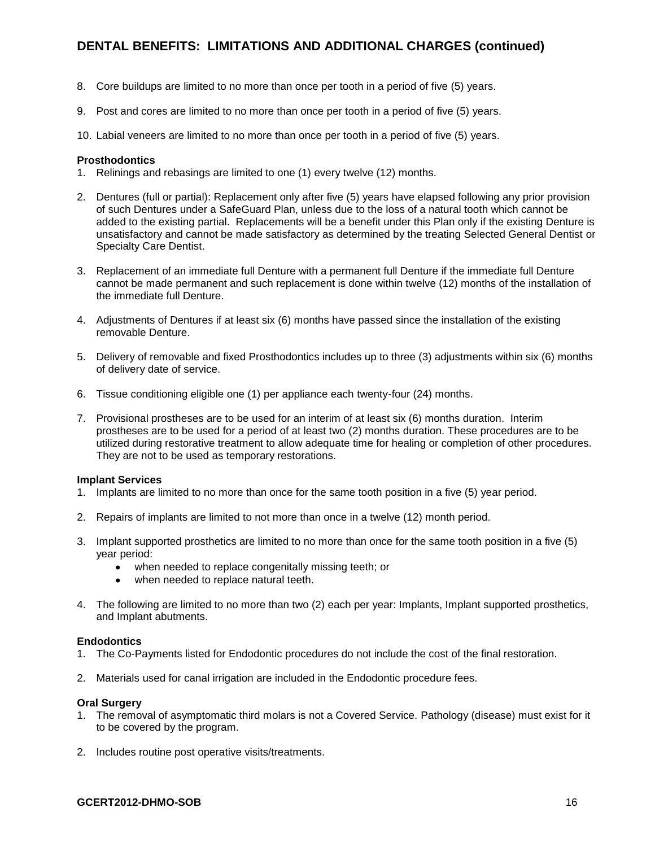## **DENTAL BENEFITS: LIMITATIONS AND ADDITIONAL CHARGES (continued)**

- 8. Core buildups are limited to no more than once per tooth in a period of five (5) years.
- 9. Post and cores are limited to no more than once per tooth in a period of five (5) years.
- 10. Labial veneers are limited to no more than once per tooth in a period of five (5) years.

#### **Prosthodontics**

- 1. Relinings and rebasings are limited to one (1) every twelve (12) months.
- 2. Dentures (full or partial): Replacement only after five (5) years have elapsed following any prior provision of such Dentures under a SafeGuard Plan, unless due to the loss of a natural tooth which cannot be added to the existing partial. Replacements will be a benefit under this Plan only if the existing Denture is unsatisfactory and cannot be made satisfactory as determined by the treating Selected General Dentist or Specialty Care Dentist.
- 3. Replacement of an immediate full Denture with a permanent full Denture if the immediate full Denture cannot be made permanent and such replacement is done within twelve (12) months of the installation of the immediate full Denture.
- 4. Adjustments of Dentures if at least six (6) months have passed since the installation of the existing removable Denture.
- 5. Delivery of removable and fixed Prosthodontics includes up to three (3) adjustments within six (6) months of delivery date of service.
- 6. Tissue conditioning eligible one (1) per appliance each twenty-four (24) months.
- 7. Provisional prostheses are to be used for an interim of at least six (6) months duration. Interim prostheses are to be used for a period of at least two (2) months duration. These procedures are to be utilized during restorative treatment to allow adequate time for healing or completion of other procedures. They are not to be used as temporary restorations.

#### **Implant Services**

- 1. Implants are limited to no more than once for the same tooth position in a five (5) year period.
- 2. Repairs of implants are limited to not more than once in a twelve (12) month period.
- 3. Implant supported prosthetics are limited to no more than once for the same tooth position in a five (5) year period:
	- when needed to replace congenitally missing teeth; or
	- when needed to replace natural teeth.
- 4. The following are limited to no more than two (2) each per year: Implants, Implant supported prosthetics, and Implant abutments.

#### **Endodontics**

- 1. The Co-Payments listed for Endodontic procedures do not include the cost of the final restoration.
- 2. Materials used for canal irrigation are included in the Endodontic procedure fees.

#### **Oral Surgery**

- 1. The removal of asymptomatic third molars is not a Covered Service. Pathology (disease) must exist for it to be covered by the program.
- 2. Includes routine post operative visits/treatments.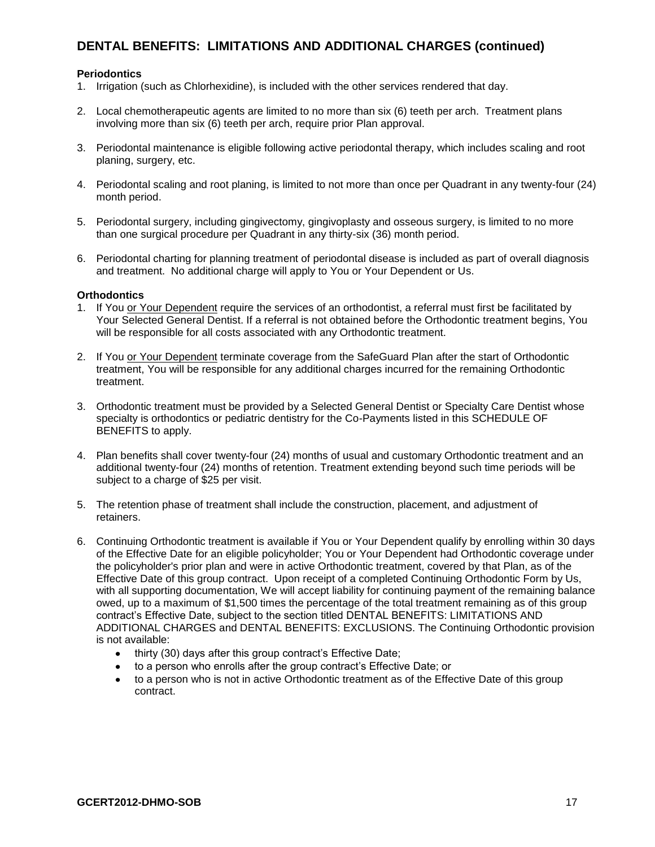## **DENTAL BENEFITS: LIMITATIONS AND ADDITIONAL CHARGES (continued)**

#### **Periodontics**

- 1. Irrigation (such as Chlorhexidine), is included with the other services rendered that day.
- 2. Local chemotherapeutic agents are limited to no more than six (6) teeth per arch. Treatment plans involving more than six (6) teeth per arch, require prior Plan approval.
- 3. Periodontal maintenance is eligible following active periodontal therapy, which includes scaling and root planing, surgery, etc.
- 4. Periodontal scaling and root planing, is limited to not more than once per Quadrant in any twenty-four (24) month period.
- 5. Periodontal surgery, including gingivectomy, gingivoplasty and osseous surgery, is limited to no more than one surgical procedure per Quadrant in any thirty-six (36) month period.
- 6. Periodontal charting for planning treatment of periodontal disease is included as part of overall diagnosis and treatment. No additional charge will apply to You or Your Dependent or Us.

#### **Orthodontics**

- 1. If You or Your Dependent require the services of an orthodontist, a referral must first be facilitated by Your Selected General Dentist. If a referral is not obtained before the Orthodontic treatment begins, You will be responsible for all costs associated with any Orthodontic treatment.
- 2. If You or Your Dependent terminate coverage from the SafeGuard Plan after the start of Orthodontic treatment, You will be responsible for any additional charges incurred for the remaining Orthodontic treatment.
- 3. Orthodontic treatment must be provided by a Selected General Dentist or Specialty Care Dentist whose specialty is orthodontics or pediatric dentistry for the Co-Payments listed in this SCHEDULE OF BENEFITS to apply.
- 4. Plan benefits shall cover twenty-four (24) months of usual and customary Orthodontic treatment and an additional twenty-four (24) months of retention. Treatment extending beyond such time periods will be subject to a charge of \$25 per visit.
- 5. The retention phase of treatment shall include the construction, placement, and adjustment of retainers.
- 6. Continuing Orthodontic treatment is available if You or Your Dependent qualify by enrolling within 30 days of the Effective Date for an eligible policyholder; You or Your Dependent had Orthodontic coverage under the policyholder's prior plan and were in active Orthodontic treatment, covered by that Plan, as of the Effective Date of this group contract. Upon receipt of a completed Continuing Orthodontic Form by Us, with all supporting documentation, We will accept liability for continuing payment of the remaining balance owed, up to a maximum of \$1,500 times the percentage of the total treatment remaining as of this group contract's Effective Date, subject to the section titled DENTAL BENEFITS: LIMITATIONS AND ADDITIONAL CHARGES and DENTAL BENEFITS: EXCLUSIONS. The Continuing Orthodontic provision is not available:
	- thirty (30) days after this group contract's Effective Date;  $\bullet$
	- to a person who enrolls after the group contract's Effective Date; or
	- to a person who is not in active Orthodontic treatment as of the Effective Date of this group  $\bullet$ contract.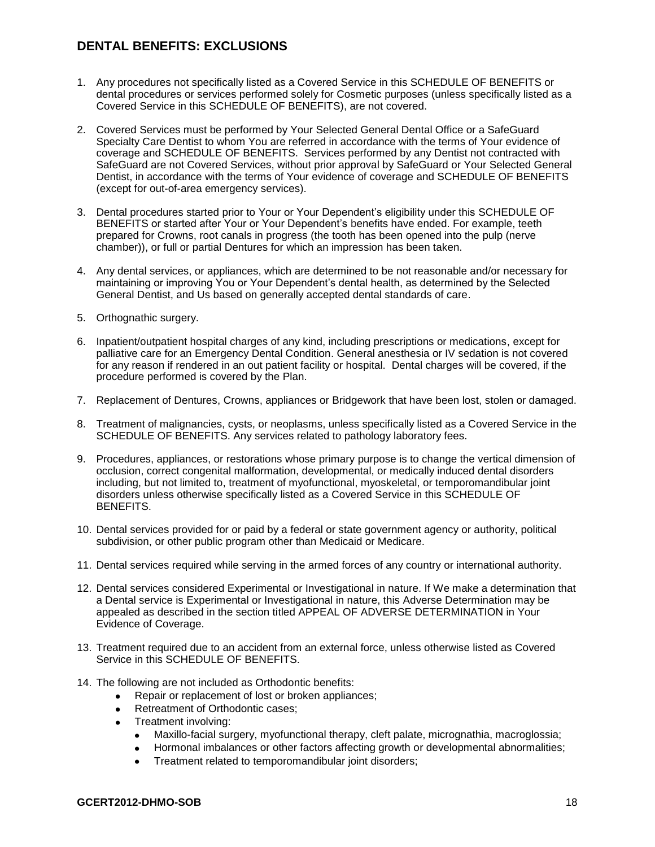## **DENTAL BENEFITS: EXCLUSIONS**

- 1. Any procedures not specifically listed as a Covered Service in this SCHEDULE OF BENEFITS or dental procedures or services performed solely for Cosmetic purposes (unless specifically listed as a Covered Service in this SCHEDULE OF BENEFITS), are not covered.
- 2. Covered Services must be performed by Your Selected General Dental Office or a SafeGuard Specialty Care Dentist to whom You are referred in accordance with the terms of Your evidence of coverage and SCHEDULE OF BENEFITS. Services performed by any Dentist not contracted with SafeGuard are not Covered Services, without prior approval by SafeGuard or Your Selected General Dentist, in accordance with the terms of Your evidence of coverage and SCHEDULE OF BENEFITS (except for out-of-area emergency services).
- 3. Dental procedures started prior to Your or Your Dependent's eligibility under this SCHEDULE OF BENEFITS or started after Your or Your Dependent's benefits have ended. For example, teeth prepared for Crowns, root canals in progress (the tooth has been opened into the pulp (nerve chamber)), or full or partial Dentures for which an impression has been taken.
- 4. Any dental services, or appliances, which are determined to be not reasonable and/or necessary for maintaining or improving You or Your Dependent's dental health, as determined by the Selected General Dentist, and Us based on generally accepted dental standards of care.
- 5. Orthognathic surgery.
- 6. Inpatient/outpatient hospital charges of any kind, including prescriptions or medications, except for palliative care for an Emergency Dental Condition. General anesthesia or IV sedation is not covered for any reason if rendered in an out patient facility or hospital. Dental charges will be covered, if the procedure performed is covered by the Plan.
- 7. Replacement of Dentures, Crowns, appliances or Bridgework that have been lost, stolen or damaged.
- 8. Treatment of malignancies, cysts, or neoplasms, unless specifically listed as a Covered Service in the SCHEDULE OF BENEFITS. Any services related to pathology laboratory fees.
- 9. Procedures, appliances, or restorations whose primary purpose is to change the vertical dimension of occlusion, correct congenital malformation, developmental, or medically induced dental disorders including, but not limited to, treatment of myofunctional, myoskeletal, or temporomandibular joint disorders unless otherwise specifically listed as a Covered Service in this SCHEDULE OF BENEFITS.
- 10. Dental services provided for or paid by a federal or state government agency or authority, political subdivision, or other public program other than Medicaid or Medicare.
- 11. Dental services required while serving in the armed forces of any country or international authority.
- 12. Dental services considered Experimental or Investigational in nature. If We make a determination that a Dental service is Experimental or Investigational in nature, this Adverse Determination may be appealed as described in the section titled APPEAL OF ADVERSE DETERMINATION in Your Evidence of Coverage.
- 13. Treatment required due to an accident from an external force, unless otherwise listed as Covered Service in this SCHEDULE OF BENEFITS.
- 14. The following are not included as Orthodontic benefits:
	- Repair or replacement of lost or broken appliances;  $\bullet$
	- Retreatment of Orthodontic cases;
	- Treatment involving:
		- Maxillo-facial surgery, myofunctional therapy, cleft palate, micrognathia, macroglossia;  $\bullet$
		- Hormonal imbalances or other factors affecting growth or developmental abnormalities;  $\bullet$
		- $\bullet$ Treatment related to temporomandibular joint disorders;